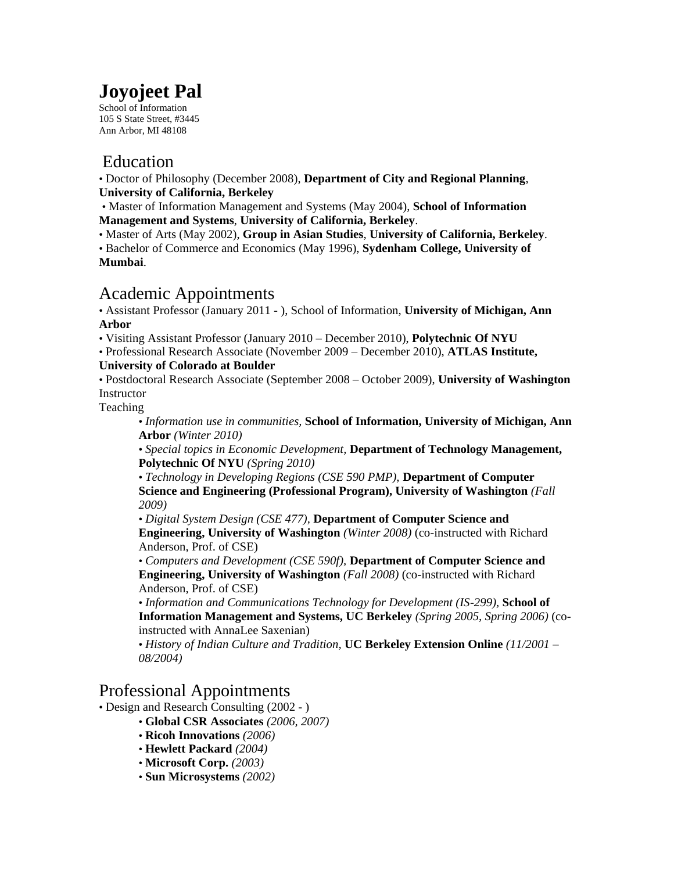# **Joyojeet Pal**

School of Information 105 S State Street, #3445 Ann Arbor, MI 48108

### Education

• Doctor of Philosophy (December 2008), **Department of City and Regional Planning**, **University of California, Berkeley** 

• Master of Information Management and Systems (May 2004), **School of Information Management and Systems**, **University of California, Berkeley**.

• Master of Arts (May 2002), **Group in Asian Studies**, **University of California, Berkeley**.

• Bachelor of Commerce and Economics (May 1996), **Sydenham College, University of Mumbai**.

# Academic Appointments

• Assistant Professor (January 2011 - ), School of Information, **University of Michigan, Ann Arbor**

• Visiting Assistant Professor (January 2010 – December 2010), **Polytechnic Of NYU**

• Professional Research Associate (November 2009 – December 2010), **ATLAS Institute,** 

#### **University of Colorado at Boulder**

• Postdoctoral Research Associate (September 2008 – October 2009), **University of Washington** Instructor

Teaching

• *Information use in communities,* **School of Information, University of Michigan, Ann Arbor** *(Winter 2010)* 

• *Special topics in Economic Development,* **Department of Technology Management, Polytechnic Of NYU** *(Spring 2010)* 

• *Technology in Developing Regions (CSE 590 PMP),* **Department of Computer Science and Engineering (Professional Program), University of Washington** *(Fall 2009)* 

• *Digital System Design (CSE 477),* **Department of Computer Science and Engineering, University of Washington** *(Winter 2008)* (co-instructed with Richard Anderson, Prof. of CSE)

• *Computers and Development (CSE 590f),* **Department of Computer Science and Engineering, University of Washington** *(Fall 2008)* (co-instructed with Richard Anderson, Prof. of CSE)

• *Information and Communications Technology for Development (IS-299),* **School of Information Management and Systems, UC Berkeley** *(Spring 2005, Spring 2006)* (coinstructed with AnnaLee Saxenian)

• *History of Indian Culture and Tradition,* **UC Berkeley Extension Online** *(11/2001 – 08/2004)* 

#### Professional Appointments

- Design and Research Consulting (2002 )
	- **Global CSR Associates** *(2006, 2007)*
	- **Ricoh Innovations** *(2006)*
	- **Hewlett Packard** *(2004)*
	- **Microsoft Corp.** *(2003)*
	- **Sun Microsystems** *(2002)*